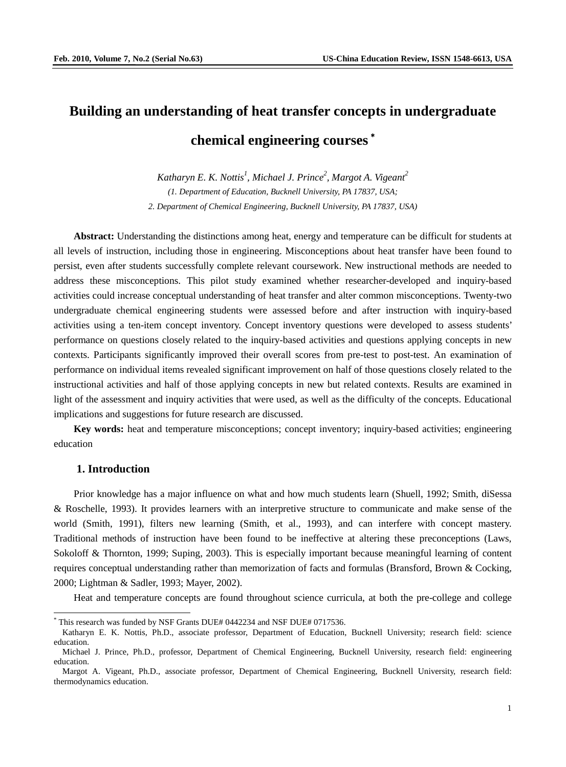# **Building an understanding of heat transfer concepts in undergraduate chemical engineering courses** \*

Katharyn E. K. Nottis<sup>1</sup>, Michael J. Prince<sup>2</sup>, Margot A. Vigeant<sup>2</sup> *(1. Department of Education, Bucknell University, PA 17837, USA; 2. Department of Chemical Engineering, Bucknell University, PA 17837, USA)*

**Abstract:** Understanding the distinctions among heat, energy and temperature can be difficult for students at all levels of instruction, including those in engineering. Misconceptions about heat transfer have been found to persist, even after students successfully complete relevant coursework. New instructional methods are needed to address these misconceptions. This pilot study examined whether researcher-developed and inquiry-based activities could increase conceptual understanding of heat transfer and alter common misconceptions. Twenty-two undergraduate chemical engineering students were assessed before and after instruction with inquiry-based activities using a ten-item concept inventory. Concept inventory questions were developed to assess students' performance on questions closely related to the inquiry-based activities and questions applying concepts in new contexts. Participants significantly improved their overall scores from pre-test to post-test. An examination of performance on individual items revealed significant improvement on half of those questions closely related to the instructional activities and half of those applying concepts in new but related contexts. Results are examined in light of the assessment and inquiry activities that were used, as well as the difficulty of the concepts. Educational implications and suggestions for future research are discussed.

**Key words:** heat and temperature misconceptions; concept inventory; inquiry-based activities; engineering education

# **1. Introduction**

Prior knowledge has a major influence on what and how much students learn (Shuell, 1992; Smith, diSessa & Roschelle, 1993). It provides learners with an interpretive structure to communicate and make sense of the world (Smith, 1991), filters new learning (Smith, et al., 1993), and can interfere with concept mastery. Traditional methods of instruction have been found to be ineffective at altering these preconceptions (Laws, Sokoloff & Thornton, 1999; Suping, 2003). This is especially important because meaningful learning of content requires conceptual understanding rather than memorization of facts and formulas (Bransford, Brown & Cocking, 2000; Lightman & Sadler, 1993; Mayer, 2002).

Heat and temperature concepts are found throughout science curricula, at both the pre-college and college

This research was funded by NSF Grants DUE# 0442234 and NSF DUE# 0717536.

<span id="page-0-0"></span>Katharyn E. K. Nottis, Ph.D., associate professor, Department of Education, Bucknell University; research field: science education.

Michael J. Prince, Ph.D., professor, Department of Chemical Engineering, Bucknell University, research field: engineering education.

Margot A. Vigeant, Ph.D., associate professor, Department of Chemical Engineering, Bucknell University, research field: thermodynamics education.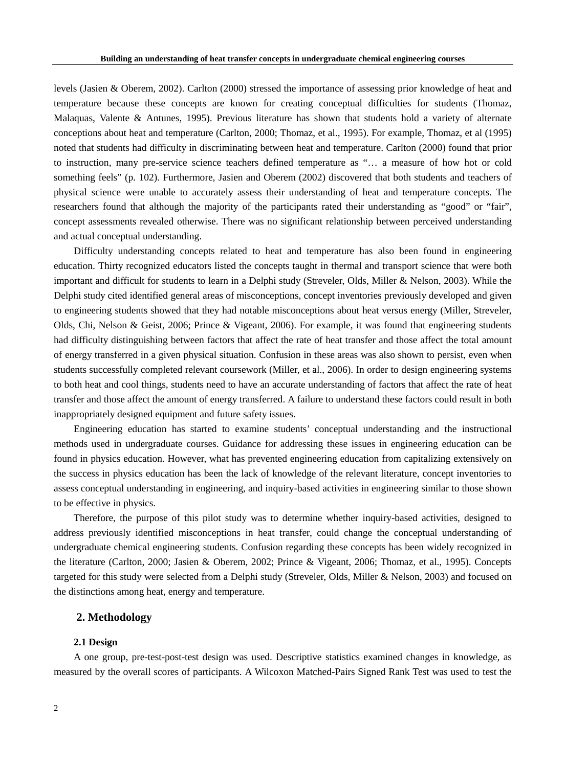levels (Jasien & Oberem, 2002). Carlton (2000) stressed the importance of assessing prior knowledge of heat and temperature because these concepts are known for creating conceptual difficulties for students (Thomaz, Malaquas, Valente & Antunes, 1995). Previous literature has shown that students hold a variety of alternate conceptions about heat and temperature (Carlton, 2000; Thomaz, et al., 1995). For example, Thomaz, et al (1995) noted that students had difficulty in discriminating between heat and temperature. Carlton (2000) found that prior to instruction, many pre-service science teachers defined temperature as "… a measure of how hot or cold something feels" (p. 102). Furthermore, Jasien and Oberem (2002) discovered that both students and teachers of physical science were unable to accurately assess their understanding of heat and temperature concepts. The researchers found that although the majority of the participants rated their understanding as "good" or "fair", concept assessments revealed otherwise. There was no significant relationship between perceived understanding and actual conceptual understanding.

Difficulty understanding concepts related to heat and temperature has also been found in engineering education. Thirty recognized educators listed the concepts taught in thermal and transport science that were both important and difficult for students to learn in a Delphi study (Streveler, Olds, Miller & Nelson, 2003). While the Delphi study cited identified general areas of misconceptions, concept inventories previously developed and given to engineering students showed that they had notable misconceptions about heat versus energy (Miller, Streveler, Olds, Chi, Nelson & Geist, 2006; Prince & Vigeant, 2006). For example, it was found that engineering students had difficulty distinguishing between factors that affect the rate of heat transfer and those affect the total amount of energy transferred in a given physical situation. Confusion in these areas was also shown to persist, even when students successfully completed relevant coursework (Miller, et al., 2006). In order to design engineering systems to both heat and cool things, students need to have an accurate understanding of factors that affect the rate of heat transfer and those affect the amount of energy transferred. A failure to understand these factors could result in both inappropriately designed equipment and future safety issues.

Engineering education has started to examine students' conceptual understanding and the instructional methods used in undergraduate courses. Guidance for addressing these issues in engineering education can be found in physics education. However, what has prevented engineering education from capitalizing extensively on the success in physics education has been the lack of knowledge of the relevant literature, concept inventories to assess conceptual understanding in engineering, and inquiry-based activities in engineering similar to those shown to be effective in physics.

Therefore, the purpose of this pilot study was to determine whether inquiry-based activities, designed to address previously identified misconceptions in heat transfer, could change the conceptual understanding of undergraduate chemical engineering students. Confusion regarding these concepts has been widely recognized in the literature (Carlton, 2000; Jasien & Oberem, 2002; Prince & Vigeant, 2006; Thomaz, et al., 1995). Concepts targeted for this study were selected from a Delphi study (Streveler, Olds, Miller & Nelson, 2003) and focused on the distinctions among heat, energy and temperature.

# **2. Methodology**

## **2.1 Design**

A one group, pre-test-post-test design was used. Descriptive statistics examined changes in knowledge, as measured by the overall scores of participants. A Wilcoxon Matched-Pairs Signed Rank Test was used to test the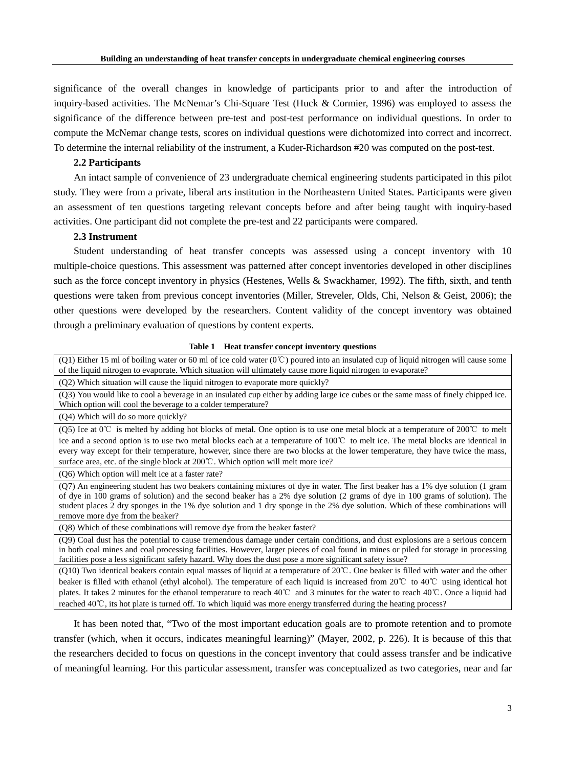significance of the overall changes in knowledge of participants prior to and after the introduction of inquiry-based activities. The McNemar's Chi-Square Test (Huck & Cormier, 1996) was employed to assess the significance of the difference between pre-test and post-test performance on individual questions. In order to compute the McNemar change tests, scores on individual questions were dichotomized into correct and incorrect. To determine the internal reliability of the instrument, a Kuder-Richardson #20 was computed on the post-test.

# **2.2 Participants**

An intact sample of convenience of 23 undergraduate chemical engineering students participated in this pilot study. They were from a private, liberal arts institution in the Northeastern United States. Participants were given an assessment of ten questions targeting relevant concepts before and after being taught with inquiry-based activities. One participant did not complete the pre-test and 22 participants were compared.

## **2.3 Instrument**

Student understanding of heat transfer concepts was assessed using a concept inventory with 10 multiple-choice questions. This assessment was patterned after concept inventories developed in other disciplines such as the force concept inventory in physics (Hestenes, Wells & Swackhamer, 1992). The fifth, sixth, and tenth questions were taken from previous concept inventories (Miller, Streveler, Olds, Chi, Nelson & Geist, 2006); the other questions were developed by the researchers. Content validity of the concept inventory was obtained through a preliminary evaluation of questions by content experts.

#### **Table 1 Heat transfer concept inventory questions**

(Q1) Either 15 ml of boiling water or 60 ml of ice cold water (0℃) poured into an insulated cup of liquid nitrogen will cause some of the liquid nitrogen to evaporate. Which situation will ultimately cause more liquid nitrogen to evaporate?

(Q2) Which situation will cause the liquid nitrogen to evaporate more quickly?

(Q3) You would like to cool a beverage in an insulated cup either by adding large ice cubes or the same mass of finely chipped ice. Which option will cool the beverage to a colder temperature?

(Q4) Which will do so more quickly?

(Q5) Ice at 0℃ is melted by adding hot blocks of metal. One option is to use one metal block at a temperature of 200℃ to melt ice and a second option is to use two metal blocks each at a temperature of 100℃ to melt ice. The metal blocks are identical in every way except for their temperature, however, since there are two blocks at the lower temperature, they have twice the mass, surface area, etc. of the single block at 200℃. Which option will melt more ice?

(Q6) Which option will melt ice at a faster rate?

(Q7) An engineering student has two beakers containing mixtures of dye in water. The first beaker has a 1% dye solution (1 gram of dye in 100 grams of solution) and the second beaker has a 2% dye solution (2 grams of dye in 100 grams of solution). The student places 2 dry sponges in the 1% dye solution and 1 dry sponge in the 2% dye solution. Which of these combinations will remove more dye from the beaker?

(Q8) Which of these combinations will remove dye from the beaker faster?

(Q9) Coal dust has the potential to cause tremendous damage under certain conditions, and dust explosions are a serious concern in both coal mines and coal processing facilities. However, larger pieces of coal found in mines or piled for storage in processing facilities pose a less significant safety hazard. Why does the dust pose a more significant safety issue?

(Q10) Two identical beakers contain equal masses of liquid at a temperature of 20℃. One beaker is filled with water and the other beaker is filled with ethanol (ethyl alcohol). The temperature of each liquid is increased from 20℃ to 40℃ using identical hot plates. It takes 2 minutes for the ethanol temperature to reach 40℃ and 3 minutes for the water to reach 40℃. Once a liquid had reached 40℃, its hot plate is turned off. To which liquid was more energy transferred during the heating process?

It has been noted that, "Two of the most important education goals are to promote retention and to promote transfer (which, when it occurs, indicates meaningful learning)" (Mayer, 2002, p. 226). It is because of this that the researchers decided to focus on questions in the concept inventory that could assess transfer and be indicative of meaningful learning. For this particular assessment, transfer was conceptualized as two categories, near and far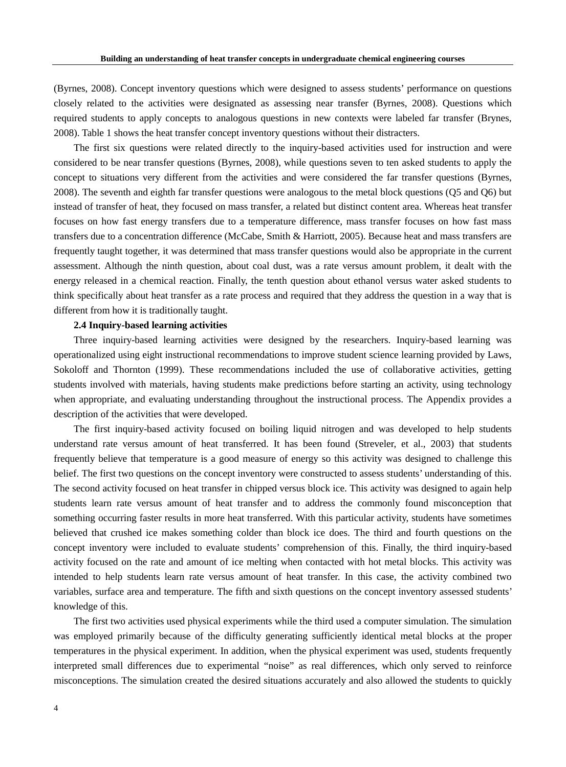(Byrnes, 2008). Concept inventory questions which were designed to assess students' performance on questions closely related to the activities were designated as assessing near transfer (Byrnes, 2008). Questions which required students to apply concepts to analogous questions in new contexts were labeled far transfer (Brynes, 2008). Table 1 shows the heat transfer concept inventory questions without their distracters.

The first six questions were related directly to the inquiry-based activities used for instruction and were considered to be near transfer questions (Byrnes, 2008), while questions seven to ten asked students to apply the concept to situations very different from the activities and were considered the far transfer questions (Byrnes, 2008). The seventh and eighth far transfer questions were analogous to the metal block questions (Q5 and Q6) but instead of transfer of heat, they focused on mass transfer, a related but distinct content area. Whereas heat transfer focuses on how fast energy transfers due to a temperature difference, mass transfer focuses on how fast mass transfers due to a concentration difference (McCabe, Smith & Harriott, 2005). Because heat and mass transfers are frequently taught together, it was determined that mass transfer questions would also be appropriate in the current assessment. Although the ninth question, about coal dust, was a rate versus amount problem, it dealt with the energy released in a chemical reaction. Finally, the tenth question about ethanol versus water asked students to think specifically about heat transfer as a rate process and required that they address the question in a way that is different from how it is traditionally taught.

## **2.4 Inquiry-based learning activities**

Three inquiry-based learning activities were designed by the researchers. Inquiry-based learning was operationalized using eight instructional recommendations to improve student science learning provided by Laws, Sokoloff and Thornton (1999). These recommendations included the use of collaborative activities, getting students involved with materials, having students make predictions before starting an activity, using technology when appropriate, and evaluating understanding throughout the instructional process. The Appendix provides a description of the activities that were developed.

The first inquiry-based activity focused on boiling liquid nitrogen and was developed to help students understand rate versus amount of heat transferred. It has been found (Streveler, et al., 2003) that students frequently believe that temperature is a good measure of energy so this activity was designed to challenge this belief. The first two questions on the concept inventory were constructed to assess students' understanding of this. The second activity focused on heat transfer in chipped versus block ice. This activity was designed to again help students learn rate versus amount of heat transfer and to address the commonly found misconception that something occurring faster results in more heat transferred. With this particular activity, students have sometimes believed that crushed ice makes something colder than block ice does. The third and fourth questions on the concept inventory were included to evaluate students' comprehension of this. Finally, the third inquiry-based activity focused on the rate and amount of ice melting when contacted with hot metal blocks. This activity was intended to help students learn rate versus amount of heat transfer. In this case, the activity combined two variables, surface area and temperature. The fifth and sixth questions on the concept inventory assessed students' knowledge of this.

The first two activities used physical experiments while the third used a computer simulation. The simulation was employed primarily because of the difficulty generating sufficiently identical metal blocks at the proper temperatures in the physical experiment. In addition, when the physical experiment was used, students frequently interpreted small differences due to experimental "noise" as real differences, which only served to reinforce misconceptions. The simulation created the desired situations accurately and also allowed the students to quickly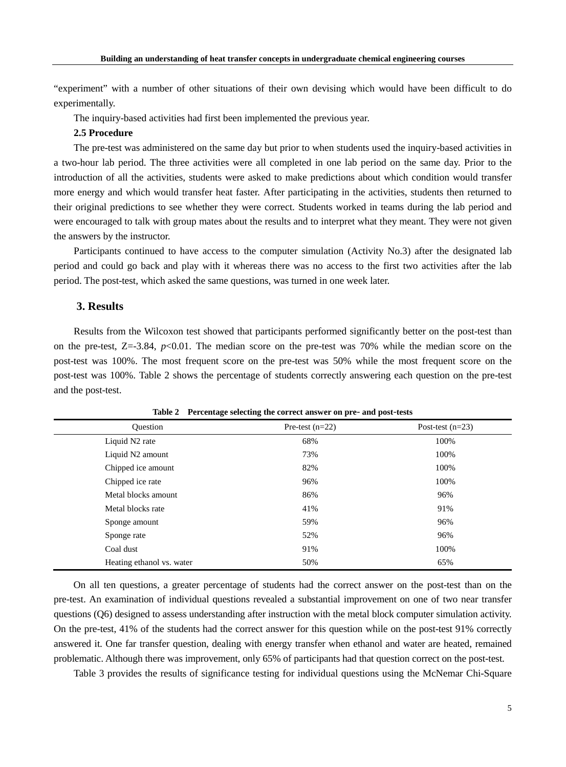"experiment" with a number of other situations of their own devising which would have been difficult to do experimentally.

The inquiry-based activities had first been implemented the previous year.

# **2.5 Procedure**

The pre-test was administered on the same day but prior to when students used the inquiry-based activities in a two-hour lab period. The three activities were all completed in one lab period on the same day. Prior to the introduction of all the activities, students were asked to make predictions about which condition would transfer more energy and which would transfer heat faster. After participating in the activities, students then returned to their original predictions to see whether they were correct. Students worked in teams during the lab period and were encouraged to talk with group mates about the results and to interpret what they meant. They were not given the answers by the instructor.

Participants continued to have access to the computer simulation (Activity No.3) after the designated lab period and could go back and play with it whereas there was no access to the first two activities after the lab period. The post-test, which asked the same questions, was turned in one week later.

# **3. Results**

Results from the Wilcoxon test showed that participants performed significantly better on the post-test than on the pre-test, Z=-3.84, *p*<0.01. The median score on the pre-test was 70% while the median score on the post-test was 100%. The most frequent score on the pre-test was 50% while the most frequent score on the post-test was 100%. Table 2 shows the percentage of students correctly answering each question on the pre-test and the post-test.

| <b>Ouestion</b>           | Pre-test $(n=22)$ | Post-test $(n=23)$ |
|---------------------------|-------------------|--------------------|
| Liquid N2 rate            | 68%               | 100%               |
| Liquid N2 amount          | 73%               | 100%               |
| Chipped ice amount        | 82%               | 100%               |
| Chipped ice rate          | 96%               | 100%               |
| Metal blocks amount       | 86%               | 96%                |
| Metal blocks rate         | 41%               | 91%                |
| Sponge amount             | 59%               | 96%                |
| Sponge rate               | 52%               | 96%                |
| Coal dust                 | 91%               | 100%               |
| Heating ethanol vs. water | 50%               | 65%                |

**Table 2 Percentage selecting the correct answer on pre**- **and post**-**tests**

On all ten questions, a greater percentage of students had the correct answer on the post-test than on the pre-test. An examination of individual questions revealed a substantial improvement on one of two near transfer questions (Q6) designed to assess understanding after instruction with the metal block computer simulation activity. On the pre-test, 41% of the students had the correct answer for this question while on the post-test 91% correctly answered it. One far transfer question, dealing with energy transfer when ethanol and water are heated, remained problematic. Although there was improvement, only 65% of participants had that question correct on the post-test.

Table 3 provides the results of significance testing for individual questions using the McNemar Chi-Square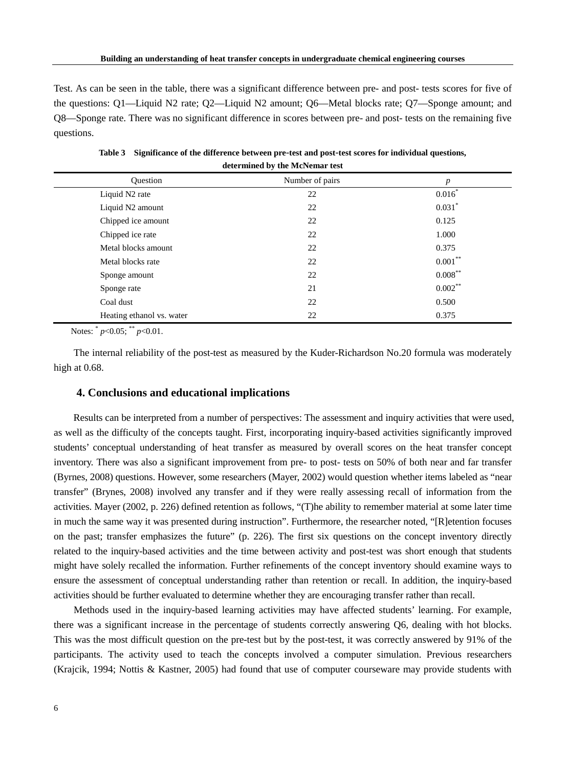Test. As can be seen in the table, there was a significant difference between pre- and post- tests scores for five of the questions: Q1—Liquid N2 rate; Q2—Liquid N2 amount; Q6—Metal blocks rate; Q7—Sponge amount; and Q8—Sponge rate. There was no significant difference in scores between pre- and post- tests on the remaining five questions.

| <b>Ouestion</b>           | Number of pairs | $\boldsymbol{p}$     |
|---------------------------|-----------------|----------------------|
| Liquid N2 rate            | 22              | $0.016*$             |
| Liquid N2 amount          | 22              | $0.031$ <sup>*</sup> |
| Chipped ice amount        | 22              | 0.125                |
| Chipped ice rate          | 22              | 1.000                |
| Metal blocks amount       | 22              | 0.375                |
| Metal blocks rate         | 22              | $0.001***$           |
| Sponge amount             | 22              | $0.008***$           |
| Sponge rate               | 21              | $0.002***$           |
| Coal dust                 | 22              | 0.500                |
| Heating ethanol vs. water | 22              | 0.375                |

**Table 3 Significance of the difference between pre**-**test and post**-**test scores for individual questions, determined by the McNemar test**

Notes: \* *p*<0.05; \*\* *p*<0.01.

The internal reliability of the post-test as measured by the Kuder-Richardson No.20 formula was moderately high at 0.68.

## **4. Conclusions and educational implications**

Results can be interpreted from a number of perspectives: The assessment and inquiry activities that were used, as well as the difficulty of the concepts taught. First, incorporating inquiry-based activities significantly improved students' conceptual understanding of heat transfer as measured by overall scores on the heat transfer concept inventory. There was also a significant improvement from pre- to post- tests on 50% of both near and far transfer (Byrnes, 2008) questions. However, some researchers (Mayer, 2002) would question whether items labeled as "near transfer" (Brynes, 2008) involved any transfer and if they were really assessing recall of information from the activities. Mayer (2002, p. 226) defined retention as follows, "(T)he ability to remember material at some later time in much the same way it was presented during instruction". Furthermore, the researcher noted, "[R]etention focuses on the past; transfer emphasizes the future" (p. 226). The first six questions on the concept inventory directly related to the inquiry-based activities and the time between activity and post-test was short enough that students might have solely recalled the information. Further refinements of the concept inventory should examine ways to ensure the assessment of conceptual understanding rather than retention or recall. In addition, the inquiry-based activities should be further evaluated to determine whether they are encouraging transfer rather than recall.

Methods used in the inquiry-based learning activities may have affected students' learning. For example, there was a significant increase in the percentage of students correctly answering Q6, dealing with hot blocks. This was the most difficult question on the pre-test but by the post-test, it was correctly answered by 91% of the participants. The activity used to teach the concepts involved a computer simulation. Previous researchers (Krajcik, 1994; Nottis & Kastner, 2005) had found that use of computer courseware may provide students with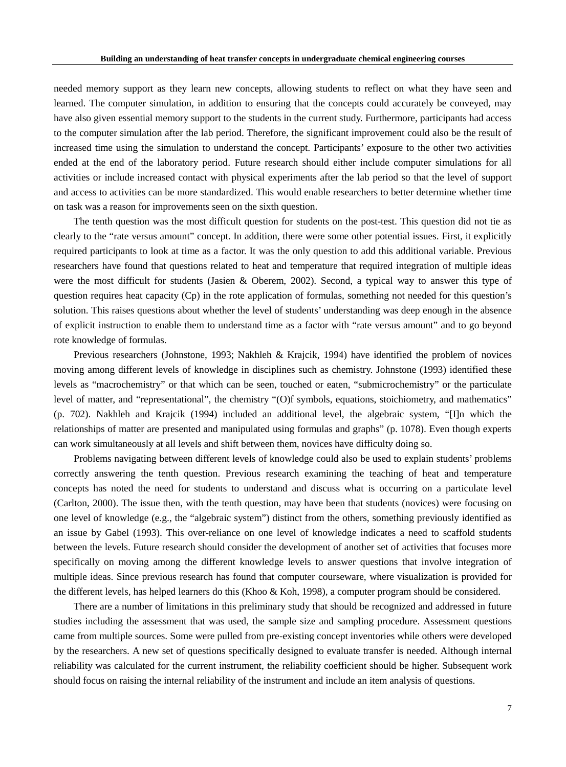needed memory support as they learn new concepts, allowing students to reflect on what they have seen and learned. The computer simulation, in addition to ensuring that the concepts could accurately be conveyed, may have also given essential memory support to the students in the current study. Furthermore, participants had access to the computer simulation after the lab period. Therefore, the significant improvement could also be the result of increased time using the simulation to understand the concept. Participants' exposure to the other two activities ended at the end of the laboratory period. Future research should either include computer simulations for all activities or include increased contact with physical experiments after the lab period so that the level of support and access to activities can be more standardized. This would enable researchers to better determine whether time on task was a reason for improvements seen on the sixth question.

The tenth question was the most difficult question for students on the post-test. This question did not tie as clearly to the "rate versus amount" concept. In addition, there were some other potential issues. First, it explicitly required participants to look at time as a factor. It was the only question to add this additional variable. Previous researchers have found that questions related to heat and temperature that required integration of multiple ideas were the most difficult for students (Jasien & Oberem, 2002). Second, a typical way to answer this type of question requires heat capacity (Cp) in the rote application of formulas, something not needed for this question's solution. This raises questions about whether the level of students' understanding was deep enough in the absence of explicit instruction to enable them to understand time as a factor with "rate versus amount" and to go beyond rote knowledge of formulas.

Previous researchers (Johnstone, 1993; Nakhleh & Krajcik, 1994) have identified the problem of novices moving among different levels of knowledge in disciplines such as chemistry. Johnstone (1993) identified these levels as "macrochemistry" or that which can be seen, touched or eaten, "submicrochemistry" or the particulate level of matter, and "representational", the chemistry "(O)f symbols, equations, stoichiometry, and mathematics" (p. 702). Nakhleh and Krajcik (1994) included an additional level, the algebraic system, "[I]n which the relationships of matter are presented and manipulated using formulas and graphs" (p. 1078). Even though experts can work simultaneously at all levels and shift between them, novices have difficulty doing so.

Problems navigating between different levels of knowledge could also be used to explain students' problems correctly answering the tenth question. Previous research examining the teaching of heat and temperature concepts has noted the need for students to understand and discuss what is occurring on a particulate level (Carlton, 2000). The issue then, with the tenth question, may have been that students (novices) were focusing on one level of knowledge (e.g., the "algebraic system") distinct from the others, something previously identified as an issue by Gabel (1993). This over-reliance on one level of knowledge indicates a need to scaffold students between the levels. Future research should consider the development of another set of activities that focuses more specifically on moving among the different knowledge levels to answer questions that involve integration of multiple ideas. Since previous research has found that computer courseware, where visualization is provided for the different levels, has helped learners do this (Khoo & Koh, 1998), a computer program should be considered.

There are a number of limitations in this preliminary study that should be recognized and addressed in future studies including the assessment that was used, the sample size and sampling procedure. Assessment questions came from multiple sources. Some were pulled from pre-existing concept inventories while others were developed by the researchers. A new set of questions specifically designed to evaluate transfer is needed. Although internal reliability was calculated for the current instrument, the reliability coefficient should be higher. Subsequent work should focus on raising the internal reliability of the instrument and include an item analysis of questions.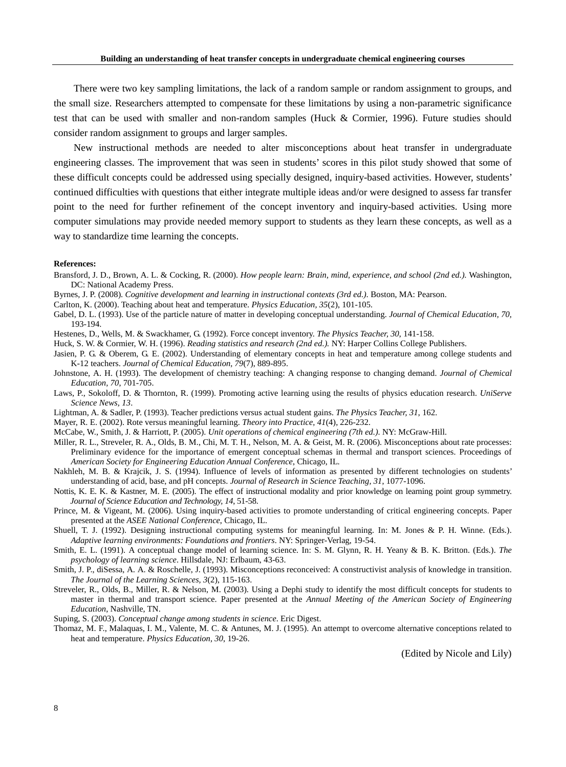There were two key sampling limitations, the lack of a random sample or random assignment to groups, and the small size. Researchers attempted to compensate for these limitations by using a non-parametric significance test that can be used with smaller and non-random samples (Huck & Cormier, 1996). Future studies should consider random assignment to groups and larger samples.

New instructional methods are needed to alter misconceptions about heat transfer in undergraduate engineering classes. The improvement that was seen in students' scores in this pilot study showed that some of these difficult concepts could be addressed using specially designed, inquiry-based activities. However, students' continued difficulties with questions that either integrate multiple ideas and/or were designed to assess far transfer point to the need for further refinement of the concept inventory and inquiry-based activities. Using more computer simulations may provide needed memory support to students as they learn these concepts, as well as a way to standardize time learning the concepts.

#### **References:**

- Bransford, J. D., Brown, A. L. & Cocking, R. (2000). *How people learn: Brain, mind, experience, and school (2nd ed.).* Washington, DC: National Academy Press.
- Byrnes, J. P. (2008). *Cognitive development and learning in instructional contexts (3rd ed.).* Boston, MA: Pearson.
- Carlton, K. (2000). Teaching about heat and temperature. *Physics Education, 35*(2), 101-105.
- Gabel, D. L. (1993). Use of the particle nature of matter in developing conceptual understanding. *Journal of Chemical Education, 70,*  193-194.
- Hestenes, D., Wells, M. & Swackhamer, G. (1992). Force concept inventory. *The Physics Teacher, 30*, 141-158.
- Huck, S. W. & Cormier, W. H. (1996). *Reading statistics and research (2nd ed.).* NY: Harper Collins College Publishers.
- Jasien, P. G. & Oberem, G. E. (2002). Understanding of elementary concepts in heat and temperature among college students and K-12 teachers. *Journal of Chemical Education, 79*(7), 889-895.
- Johnstone, A. H. (1993). The development of chemistry teaching: A changing response to changing demand. *Journal of Chemical Education, 70*, 701-705.
- Laws, P., Sokoloff, D. & Thornton, R. (1999). Promoting active learning using the results of physics education research. *UniServe Science News, 13*.
- Lightman, A. & Sadler, P. (1993). Teacher predictions versus actual student gains. *The Physics Teacher, 31*, 162.

Mayer, R. E. (2002). Rote versus meaningful learning. *Theory into Practice, 41*(4), 226-232.

- McCabe, W., Smith, J. & Harriott, P. (2005). *Unit operations of chemical engineering (7th ed.)*. NY: McGraw-Hill.
- Miller, R. L., Streveler, R. A., Olds, B. M., Chi, M. T. H., Nelson, M. A. & Geist, M. R. (2006). Misconceptions about rate processes: Preliminary evidence for the importance of emergent conceptual schemas in thermal and transport sciences. Proceedings of *American Society for Engineering Education Annual Conference*, Chicago, IL*.*
- Nakhleh, M. B. & Krajcik, J. S. (1994). Influence of levels of information as presented by different technologies on students' understanding of acid, base, and pH concepts. *Journal of Research in Science Teaching, 31*, 1077-1096.
- Nottis, K. E. K. & Kastner, M. E. (2005). The effect of instructional modality and prior knowledge on learning point group symmetry. *Journal of Science Education and Technology, 14*, 51-58.
- Prince, M. & Vigeant, M. (2006). Using inquiry-based activities to promote understanding of critical engineering concepts. Paper presented at the *ASEE National Conference*, Chicago, IL.
- Shuell, T. J. (1992). Designing instructional computing systems for meaningful learning. In: M. Jones & P. H. Winne. (Eds.). *Adaptive learning environments: Foundations and frontiers*. NY: Springer-Verlag, 19-54.
- Smith, E. L. (1991). A conceptual change model of learning science. In: S. M. Glynn, R. H. Yeany & B. K. Britton. (Eds.). *The psychology of learning science*. Hillsdale, NJ: Erlbaum, 43-63.
- Smith, J. P., diSessa, A. A. & Roschelle, J. (1993). Misconceptions reconceived: A constructivist analysis of knowledge in transition. *The Journal of the Learning Sciences, 3*(2), 115-163.
- Streveler, R., Olds, B., Miller, R. & Nelson, M. (2003). Using a Dephi study to identify the most difficult concepts for students to master in thermal and transport science. Paper presented at the *Annual Meeting of the American Society of Engineering Education*, Nashville, TN.
- Suping, S. (2003). *Conceptual change among students in science*. Eric Digest.
- Thomaz, M. F., Malaquas, I. M., Valente, M. C. & Antunes, M. J. (1995). An attempt to overcome alternative conceptions related to heat and temperature. *Physics Education, 30*, 19-26.

(Edited by Nicole and Lily)